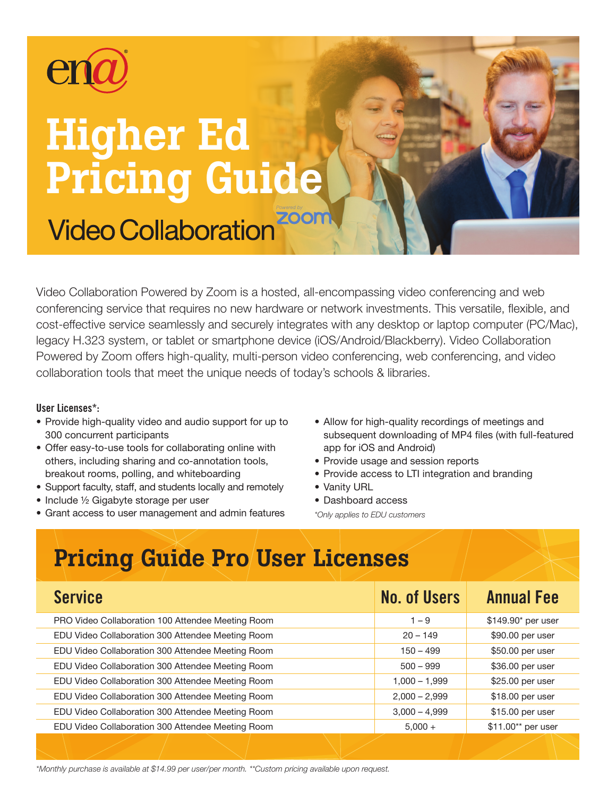

# Higher Ed Pricing Guide

**Video Collaboration** 

Video Collaboration Powered by Zoom is a hosted, all-encompassing video conferencing and web conferencing service that requires no new hardware or network investments. This versatile, flexible, and cost-effective service seamlessly and securely integrates with any desktop or laptop computer (PC/Mac), legacy H.323 system, or tablet or smartphone device (iOS/Android/Blackberry). Video Collaboration Powered by Zoom offers high-quality, multi-person video conferencing, web conferencing, and video collaboration tools that meet the unique needs of today's schools & libraries.

## User Licenses\*:

- Provide high-quality video and audio support for up to 300 concurrent participants
- Offer easy-to-use tools for collaborating online with others, including sharing and co-annotation tools, breakout rooms, polling, and whiteboarding
- Support faculty, staff, and students locally and remotely
- Include 1/2 Gigabyte storage per user
- Grant access to user management and admin features
- Allow for high-quality recordings of meetings and subsequent downloading of MP4 files (with full-featured app for iOS and Android)
- Provide usage and session reports
- Provide access to LTI integration and branding
- Vanity URL
- Dashboard access

*\*Only applies to EDU customers*

# Pricing Guide Pro User Licenses

| <b>Service</b>                                    | <b>No. of Users</b> | <b>Annual Fee</b>  |
|---------------------------------------------------|---------------------|--------------------|
| PRO Video Collaboration 100 Attendee Meeting Room | $1 - 9$             | \$149.90* per user |
| EDU Video Collaboration 300 Attendee Meeting Room | $20 - 149$          | \$90.00 per user   |
| EDU Video Collaboration 300 Attendee Meeting Room | $150 - 499$         | \$50.00 per user   |
| EDU Video Collaboration 300 Attendee Meeting Room | $500 - 999$         | \$36.00 per user   |
| EDU Video Collaboration 300 Attendee Meeting Room | $1,000 - 1,999$     | \$25.00 per user   |
| EDU Video Collaboration 300 Attendee Meeting Room | $2,000 - 2,999$     | \$18.00 per user   |
| EDU Video Collaboration 300 Attendee Meeting Room | $3,000 - 4,999$     | \$15.00 per user   |
| EDU Video Collaboration 300 Attendee Meeting Room | $5,000 +$           | \$11.00** per user |
|                                                   |                     |                    |

*\*Monthly purchase is available at \$14.99 per user/per month. \*\*Custom pricing available upon request.*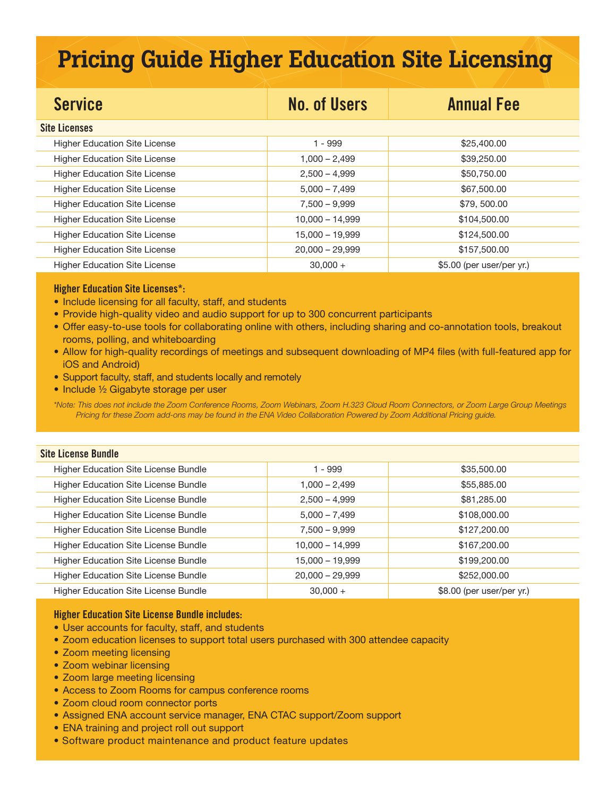# Pricing Guide Higher Education Site Licensing

| <b>Service</b>                       | <b>No. of Users</b> | <b>Annual Fee</b>          |
|--------------------------------------|---------------------|----------------------------|
| <b>Site Licenses</b>                 |                     |                            |
| <b>Higher Education Site License</b> | $1 - 999$           | \$25,400.00                |
| <b>Higher Education Site License</b> | $1,000 - 2,499$     | \$39,250.00                |
| <b>Higher Education Site License</b> | $2,500 - 4,999$     | \$50,750.00                |
| <b>Higher Education Site License</b> | $5,000 - 7,499$     | \$67,500.00                |
| <b>Higher Education Site License</b> | $7,500 - 9,999$     | \$79,500.00                |
| <b>Higher Education Site License</b> | $10,000 - 14,999$   | \$104,500.00               |
| <b>Higher Education Site License</b> | 15,000 - 19,999     | \$124,500.00               |
| <b>Higher Education Site License</b> | $20,000 - 29,999$   | \$157,500.00               |
| <b>Higher Education Site License</b> | $30,000 +$          | $$5.00$ (per user/per yr.) |

### Higher Education Site Licenses\*:

- Include licensing for all faculty, staff, and students
- Provide high-quality video and audio support for up to 300 concurrent participants
- Offer easy-to-use tools for collaborating online with others, including sharing and co-annotation tools, breakout rooms, polling, and whiteboarding
- Allow for high-quality recordings of meetings and subsequent downloading of MP4 files (with full-featured app for iOS and Android)
- Support faculty, staff, and students locally and remotely
- Include 1/2 Gigabyte storage per user

*\*Note: This does not include the Zoom Conference Rooms, Zoom Webinars, Zoom H.323 Cloud Room Connectors, or Zoom Large Group Meetings Pricing for these Zoom add-ons may be found in the ENA Video Collaboration Powered by Zoom Additional Pricing guide.*

| <b>Site License Bundle</b>                  |                   |                           |
|---------------------------------------------|-------------------|---------------------------|
| <b>Higher Education Site License Bundle</b> | 1 - 999           | \$35,500.00               |
| Higher Education Site License Bundle        | $1,000 - 2,499$   | \$55,885.00               |
| <b>Higher Education Site License Bundle</b> | $2,500 - 4,999$   | \$81,285.00               |
| Higher Education Site License Bundle        | $5,000 - 7,499$   | \$108,000.00              |
| Higher Education Site License Bundle        | $7,500 - 9,999$   | \$127,200.00              |
| Higher Education Site License Bundle        | $10,000 - 14,999$ | \$167,200.00              |
| Higher Education Site License Bundle        | $15,000 - 19,999$ | \$199,200.00              |
| <b>Higher Education Site License Bundle</b> | $20,000 - 29,999$ | \$252,000.00              |
| Higher Education Site License Bundle        | $30.000 +$        | \$8.00 (per user/per yr.) |

### Higher Education Site License Bundle includes:

- User accounts for faculty, staff, and students
- Zoom education licenses to support total users purchased with 300 attendee capacity
- Zoom meeting licensing
- Zoom webinar licensing
- Zoom large meeting licensing
- Access to Zoom Rooms for campus conference rooms
- Zoom cloud room connector ports
- Assigned ENA account service manager, ENA CTAC support/Zoom support
- ENA training and project roll out support
- Software product maintenance and product feature updates